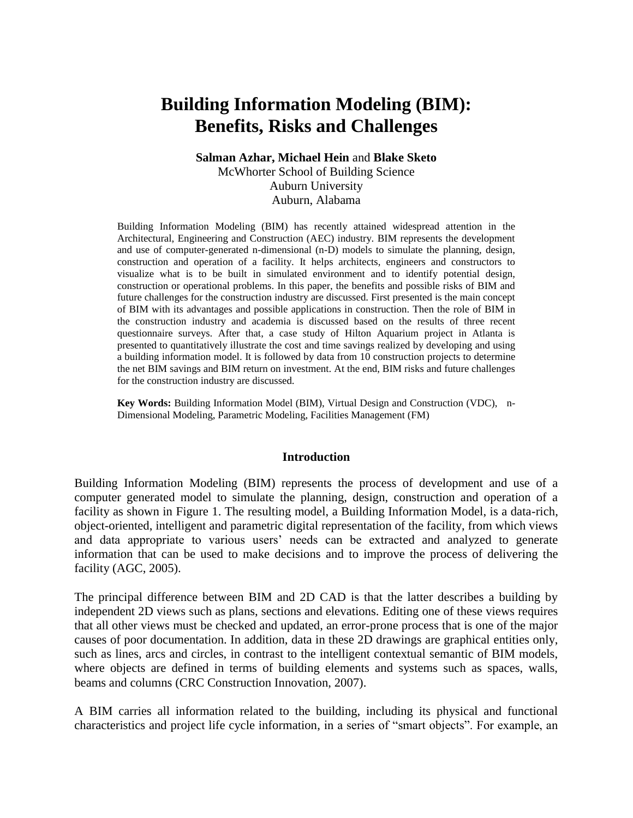# **Building Information Modeling (BIM): Benefits, Risks and Challenges**

### **Salman Azhar, Michael Hein** and **Blake Sketo** McWhorter School of Building Science Auburn University Auburn, Alabama

Building Information Modeling (BIM) has recently attained widespread attention in the Architectural, Engineering and Construction (AEC) industry. BIM represents the development and use of computer-generated n-dimensional (n-D) models to simulate the planning, design, construction and operation of a facility. It helps architects, engineers and constructors to visualize what is to be built in simulated environment and to identify potential design, construction or operational problems. In this paper, the benefits and possible risks of BIM and future challenges for the construction industry are discussed. First presented is the main concept of BIM with its advantages and possible applications in construction. Then the role of BIM in the construction industry and academia is discussed based on the results of three recent questionnaire surveys. After that, a case study of Hilton Aquarium project in Atlanta is presented to quantitatively illustrate the cost and time savings realized by developing and using a building information model. It is followed by data from 10 construction projects to determine the net BIM savings and BIM return on investment. At the end, BIM risks and future challenges for the construction industry are discussed.

**Key Words:** Building Information Model (BIM), Virtual Design and Construction (VDC), n-Dimensional Modeling, Parametric Modeling, Facilities Management (FM)

#### **Introduction**

Building Information Modeling (BIM) represents the process of development and use of a computer generated model to simulate the planning, design, construction and operation of a facility as shown in Figure 1. The resulting model, a Building Information Model, is a data-rich, object-oriented, intelligent and parametric digital representation of the facility, from which views and data appropriate to various users' needs can be extracted and analyzed to generate information that can be used to make decisions and to improve the process of delivering the facility (AGC, 2005).

The principal difference between BIM and 2D CAD is that the latter describes a building by independent 2D views such as plans, sections and elevations. Editing one of these views requires that all other views must be checked and updated, an error-prone process that is one of the major causes of poor documentation. In addition, data in these 2D drawings are graphical entities only, such as lines, arcs and circles, in contrast to the intelligent contextual semantic of BIM models, where objects are defined in terms of building elements and systems such as spaces, walls, beams and columns (CRC Construction Innovation, 2007).

A BIM carries all information related to the building, including its physical and functional characteristics and project life cycle information, in a series of "smart objects". For example, an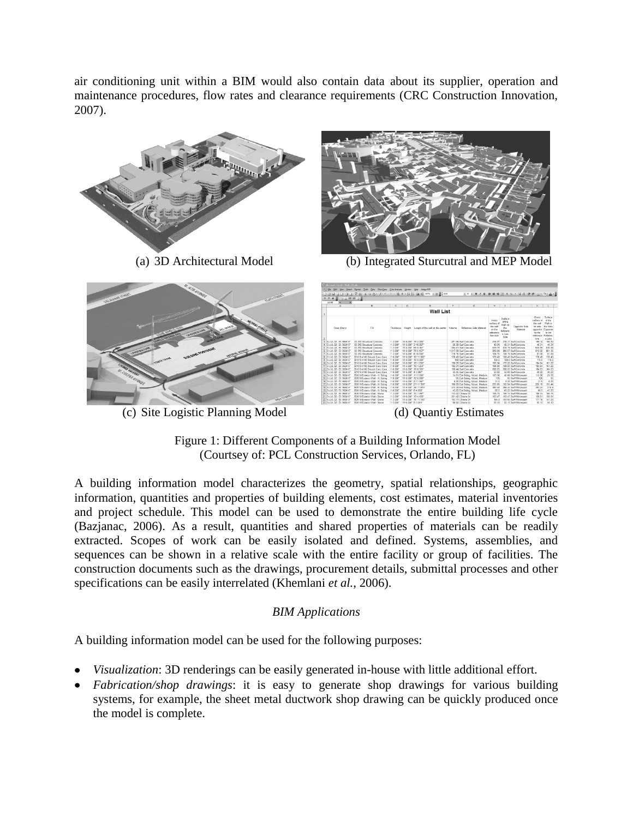air conditioning unit within a BIM would also contain data about its supplier, operation and maintenance procedures, flow rates and clearance requirements (CRC Construction Innovation, 2007).



Figure 1: Different Components of a Building Information Model (Courtsey of: PCL Construction Services, Orlando, FL)

A building information model characterizes the geometry, spatial relationships, geographic information, quantities and properties of building elements, cost estimates, material inventories and project schedule. This model can be used to demonstrate the entire building life cycle (Bazjanac, 2006). As a result, quantities and shared properties of materials can be readily extracted. Scopes of work can be easily isolated and defined. Systems, assemblies, and sequences can be shown in a relative scale with the entire facility or group of facilities. The construction documents such as the drawings, procurement details, submittal processes and other specifications can be easily interrelated (Khemlani *et al.*, 2006).

# *BIM Applications*

A building information model can be used for the following purposes:

- *Visualization*: 3D renderings can be easily generated in-house with little additional effort.
- *Fabrication/shop drawings*: it is easy to generate shop drawings for various building systems, for example, the sheet metal ductwork shop drawing can be quickly produced once the model is complete.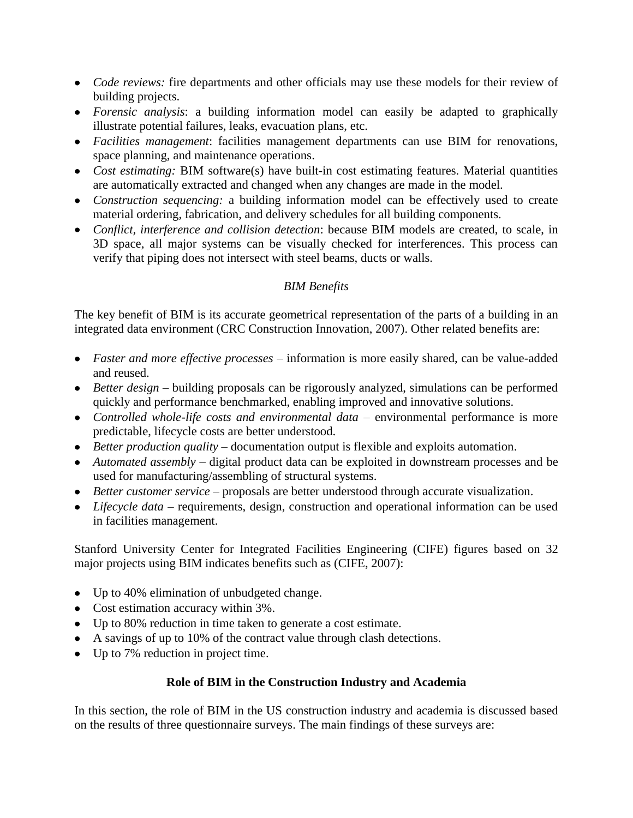- *Code reviews:* fire departments and other officials may use these models for their review of building projects.
- *Forensic analysis*: a building information model can easily be adapted to graphically illustrate potential failures, leaks, evacuation plans, etc.
- *Facilities management*: facilities management departments can use BIM for renovations, space planning, and maintenance operations.
- *Cost estimating:* BIM software(s) have built-in cost estimating features. Material quantities are automatically extracted and changed when any changes are made in the model.
- *Construction sequencing:* a building information model can be effectively used to create material ordering, fabrication, and delivery schedules for all building components.
- *Conflict, interference and collision detection*: because BIM models are created, to scale, in 3D space, all major systems can be visually checked for interferences. This process can verify that piping does not intersect with steel beams, ducts or walls.

# *BIM Benefits*

The key benefit of BIM is its accurate geometrical representation of the parts of a building in an integrated data environment (CRC Construction Innovation, 2007). Other related benefits are:

- *Faster and more effective processes* information is more easily shared, can be value-added and reused.
- *Better design* building proposals can be rigorously analyzed, simulations can be performed quickly and performance benchmarked, enabling improved and innovative solutions.
- *Controlled whole-life costs and environmental data* environmental performance is more predictable, lifecycle costs are better understood.
- *Better production quality* documentation output is flexible and exploits automation.
- *Automated assembly*  digital product data can be exploited in downstream processes and be used for manufacturing/assembling of structural systems.
- *Better customer service* proposals are better understood through accurate visualization.
- *Lifecycle data* requirements, design, construction and operational information can be used in facilities management.

Stanford University Center for Integrated Facilities Engineering (CIFE) figures based on 32 major projects using BIM indicates benefits such as (CIFE, 2007):

- Up to 40% elimination of unbudgeted change.
- Cost estimation accuracy within 3%.
- Up to 80% reduction in time taken to generate a cost estimate.
- A savings of up to 10% of the contract value through clash detections.
- Up to 7% reduction in project time.

# **Role of BIM in the Construction Industry and Academia**

In this section, the role of BIM in the US construction industry and academia is discussed based on the results of three questionnaire surveys. The main findings of these surveys are: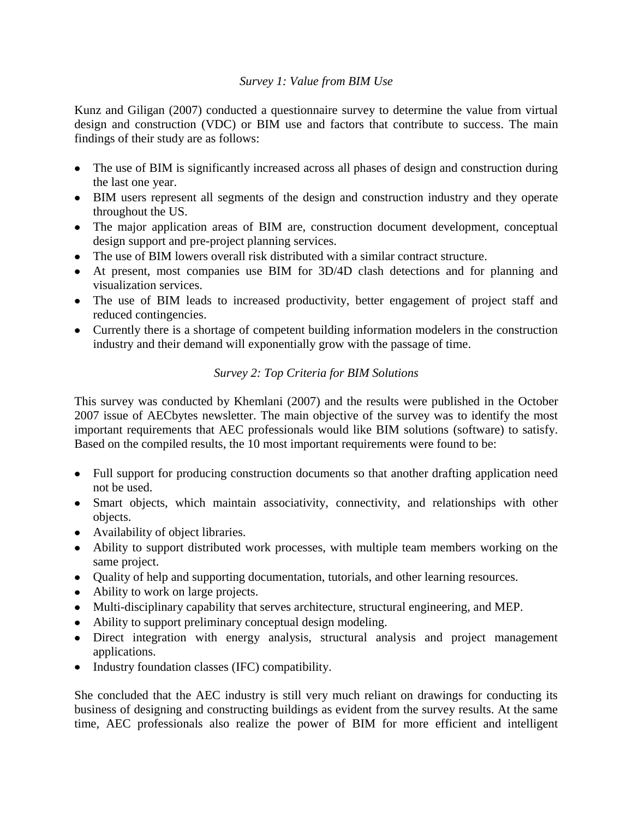### *Survey 1: Value from BIM Use*

Kunz and Giligan (2007) conducted a questionnaire survey to determine the value from virtual design and construction (VDC) or BIM use and factors that contribute to success. The main findings of their study are as follows:

- The use of BIM is significantly increased across all phases of design and construction during the last one year.
- BIM users represent all segments of the design and construction industry and they operate throughout the US.
- The major application areas of BIM are, construction document development, conceptual design support and pre-project planning services.
- The use of BIM lowers overall risk distributed with a similar contract structure.
- At present, most companies use BIM for 3D/4D clash detections and for planning and visualization services.
- The use of BIM leads to increased productivity, better engagement of project staff and reduced contingencies.
- Currently there is a shortage of competent building information modelers in the construction industry and their demand will exponentially grow with the passage of time.

# *Survey 2: Top Criteria for BIM Solutions*

This survey was conducted by Khemlani (2007) and the results were published in the October 2007 issue of AECbytes newsletter. The main objective of the survey was to identify the most important requirements that AEC professionals would like BIM solutions (software) to satisfy. Based on the compiled results, the 10 most important requirements were found to be:

- Full support for producing construction documents so that another drafting application need not be used.
- Smart objects, which maintain associativity, connectivity, and relationships with other objects.
- Availability of object libraries.
- Ability to support distributed work processes, with multiple team members working on the same project.
- Quality of help and supporting documentation, tutorials, and other learning resources.
- Ability to work on large projects.
- Multi-disciplinary capability that serves architecture, structural engineering, and MEP.
- Ability to support preliminary conceptual design modeling.
- Direct integration with energy analysis, structural analysis and project management applications.
- Industry foundation classes (IFC) compatibility.

She concluded that the AEC industry is still very much reliant on drawings for conducting its business of designing and constructing buildings as evident from the survey results. At the same time, AEC professionals also realize the power of BIM for more efficient and intelligent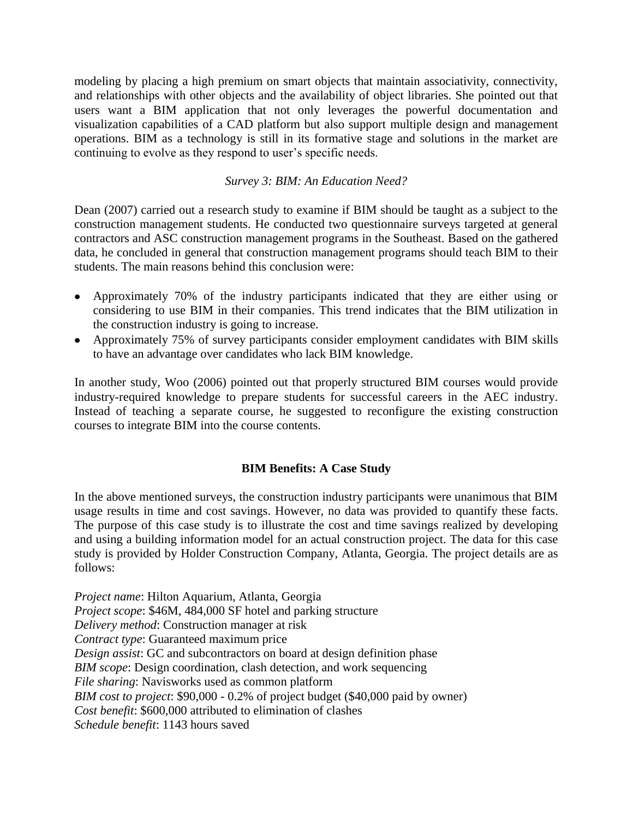modeling by placing a high premium on smart objects that maintain associativity, connectivity, and relationships with other objects and the availability of object libraries. She pointed out that users want a BIM application that not only leverages the powerful documentation and visualization capabilities of a CAD platform but also support multiple design and management operations. BIM as a technology is still in its formative stage and solutions in the market are continuing to evolve as they respond to user's specific needs.

## *Survey 3: BIM: An Education Need?*

Dean (2007) carried out a research study to examine if BIM should be taught as a subject to the construction management students. He conducted two questionnaire surveys targeted at general contractors and ASC construction management programs in the Southeast. Based on the gathered data, he concluded in general that construction management programs should teach BIM to their students. The main reasons behind this conclusion were:

- Approximately 70% of the industry participants indicated that they are either using or considering to use BIM in their companies. This trend indicates that the BIM utilization in the construction industry is going to increase.
- Approximately 75% of survey participants consider employment candidates with BIM skills to have an advantage over candidates who lack BIM knowledge.

In another study, Woo (2006) pointed out that properly structured BIM courses would provide industry-required knowledge to prepare students for successful careers in the AEC industry. Instead of teaching a separate course, he suggested to reconfigure the existing construction courses to integrate BIM into the course contents.

# **BIM Benefits: A Case Study**

In the above mentioned surveys, the construction industry participants were unanimous that BIM usage results in time and cost savings. However, no data was provided to quantify these facts. The purpose of this case study is to illustrate the cost and time savings realized by developing and using a building information model for an actual construction project. The data for this case study is provided by Holder Construction Company, Atlanta, Georgia. The project details are as follows:

*Project name*: Hilton Aquarium, Atlanta, Georgia *Project scope*: \$46M, 484,000 SF hotel and parking structure *Delivery method*: Construction manager at risk *Contract type*: Guaranteed maximum price *Design assist*: GC and subcontractors on board at design definition phase *BIM scope*: Design coordination, clash detection, and work sequencing *File sharing*: Navisworks used as common platform *BIM cost to project*: \$90,000 - 0.2% of project budget (\$40,000 paid by owner) *Cost benefit*: \$600,000 attributed to elimination of clashes *Schedule benefit*: 1143 hours saved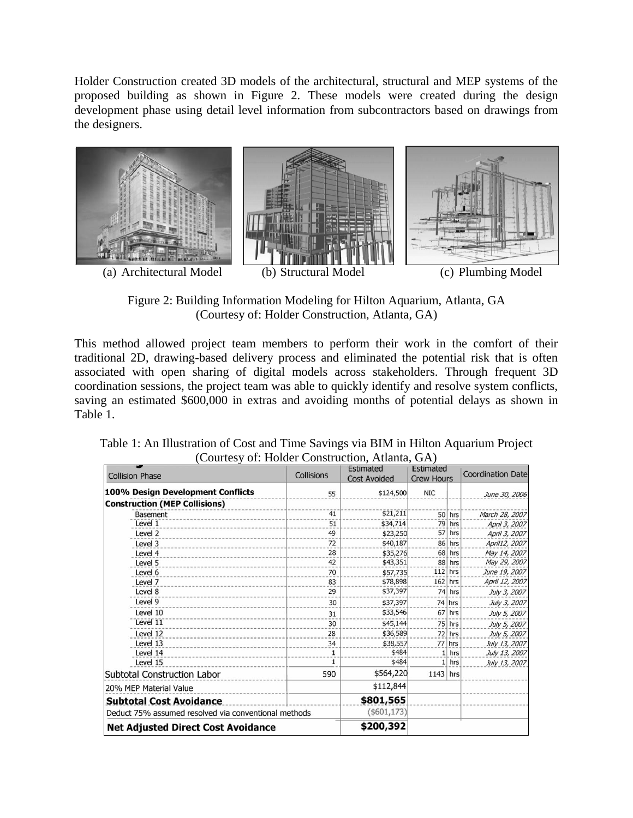Holder Construction created 3D models of the architectural, structural and MEP systems of the proposed building as shown in Figure 2. These models were created during the design development phase using detail level information from subcontractors based on drawings from the designers.



Figure 2: Building Information Modeling for Hilton Aquarium, Atlanta, GA (Courtesy of: Holder Construction, Atlanta, GA)

This method allowed project team members to perform their work in the comfort of their traditional 2D, drawing-based delivery process and eliminated the potential risk that is often associated with open sharing of digital models across stakeholders. Through frequent 3D coordination sessions, the project team was able to quickly identify and resolve system conflicts, saving an estimated \$600,000 in extras and avoiding months of potential delays as shown in Table 1.

| Table 1: An Illustration of Cost and Time Savings via BIM in Hilton Aquarium Project |
|--------------------------------------------------------------------------------------|
| (Courtesy of: Holder Construction, Atlanta, GA)                                      |
| Entire steal Entire steal                                                            |

|                                                      |              | <b>Estimated</b><br><b>Cost Avoided</b> | <b>Estimated</b>  |           |                          |
|------------------------------------------------------|--------------|-----------------------------------------|-------------------|-----------|--------------------------|
| <b>Collision Phase</b>                               | Collisions   |                                         | <b>Crew Hours</b> |           | <b>Coordination Date</b> |
| 100% Design Development Conflicts                    | 55           | \$124,500                               | <b>NIC</b>        |           | June 30, 2006            |
| <b>Construction (MEP Collisions)</b>                 |              |                                         |                   |           |                          |
| <b>Basement</b>                                      | 41           | \$21,211                                |                   | $50$ hrs  | March 28, 2007           |
| Level 1                                              | 51           | \$34,714                                |                   | $79$ hrs  | April 3, 2007            |
| Level 2                                              | 49           | \$23,250                                |                   | $57$ hrs  | April 3, 2007            |
| Level 3                                              | 72           | \$40,187                                |                   | 86 hrs    | April12, 2007            |
| Level 4                                              | 28           | \$35,276                                | 68                | hrs       | May 14, 2007             |
| Level 5                                              | 42           | \$43,351                                |                   | 88 hrs    | May 29, 2007             |
| Level 6                                              | 70           | \$57,735                                |                   | $112$ hrs | June 19, 2007            |
| Level 7                                              | 83           | \$78,898                                | $162$ hrs         |           | April 12, 2007           |
| Level 8                                              | 29           | \$37,397                                |                   | 74 hrs    | July 3, 2007             |
| Level 9                                              | 30           | \$37,397                                |                   | $74$ hrs  | July 3, 2007             |
| Level 10                                             | 31           | \$33,546                                |                   | $67$ hrs  | July 5, 2007             |
| Level 11                                             | 30           | \$45,144                                |                   | $75$ hrs  | July 5, 2007             |
| Level 12                                             | 28           | \$36,589                                |                   | $72$ hrs  | July 5, 2007             |
| Level 13                                             | 34           | \$38,557                                | 77                | hrs       | July 13, 2007            |
| Level 14                                             | 1            | \$484                                   |                   | $1$ hrs   | July 13, 2007            |
| Level 15                                             | $\mathbf{1}$ | \$484                                   |                   | $1$ hrs   | July 13, 2007            |
| <b>Subtotal Construction Labor</b>                   | 590          | \$564,220                               | $1143$ hrs        |           |                          |
| 20% MEP Material Value                               |              | \$112,844                               |                   |           |                          |
| <b>Subtotal Cost Avoidance</b>                       |              | \$801,565                               |                   |           |                          |
| Deduct 75% assumed resolved via conventional methods |              | ( \$601, 173)                           |                   |           |                          |
| <b>Net Adjusted Direct Cost Avoidance</b>            |              | \$200,392                               |                   |           |                          |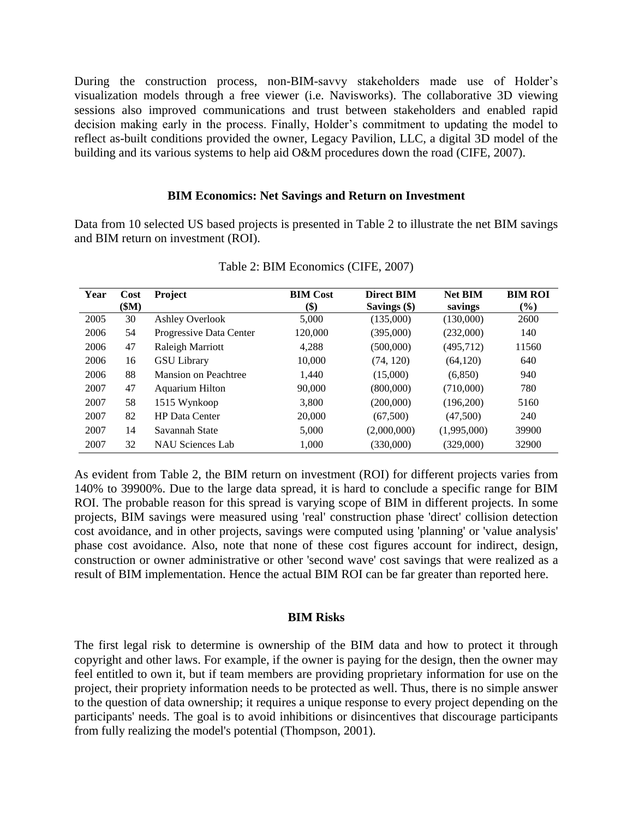During the construction process, non-BIM-savvy stakeholders made use of Holder's visualization models through a free viewer (i.e. Navisworks). The collaborative 3D viewing sessions also improved communications and trust between stakeholders and enabled rapid decision making early in the process. Finally, Holder's commitment to updating the model to reflect as-built conditions provided the owner, Legacy Pavilion, LLC, a digital 3D model of the building and its various systems to help aid O&M procedures down the road (CIFE, 2007).

#### **BIM Economics: Net Savings and Return on Investment**

Data from 10 selected US based projects is presented in Table 2 to illustrate the net BIM savings and BIM return on investment (ROI).

| Year | Cost  | <b>Project</b>          | <b>BIM Cost</b> | <b>Direct BIM</b> | <b>Net BIM</b> | <b>BIM ROI</b> |
|------|-------|-------------------------|-----------------|-------------------|----------------|----------------|
|      | \$M\$ |                         | \$)             | Savings $(\$)$    | savings        | $\frac{6}{6}$  |
| 2005 | 30    | <b>Ashley Overlook</b>  | 5,000           | (135,000)         | (130,000)      | 2600           |
| 2006 | 54    | Progressive Data Center | 120,000         | (395,000)         | (232,000)      | 140            |
| 2006 | 47    | Raleigh Marriott        | 4,288           | (500,000)         | (495, 712)     | 11560          |
| 2006 | 16    | <b>GSU</b> Library      | 10,000          | (74, 120)         | (64, 120)      | 640            |
| 2006 | 88    | Mansion on Peachtree    | 1,440           | (15,000)          | (6,850)        | 940            |
| 2007 | 47    | <b>Aquarium Hilton</b>  | 90,000          | (800,000)         | (710,000)      | 780            |
| 2007 | 58    | 1515 Wynkoop            | 3,800           | (200,000)         | (196,200)      | 5160           |
| 2007 | 82    | <b>HP</b> Data Center   | 20,000          | (67,500)          | (47,500)       | 240            |
| 2007 | 14    | Savannah State          | 5,000           | (2,000,000)       | (1,995,000)    | 39900          |
| 2007 | 32    | <b>NAU Sciences Lab</b> | 1,000           | (330,000)         | (329,000)      | 32900          |

Table 2: BIM Economics (CIFE, 2007)

As evident from Table 2, the BIM return on investment (ROI) for different projects varies from 140% to 39900%. Due to the large data spread, it is hard to conclude a specific range for BIM ROI. The probable reason for this spread is varying scope of BIM in different projects. In some projects, BIM savings were measured using 'real' construction phase 'direct' collision detection cost avoidance, and in other projects, savings were computed using 'planning' or 'value analysis' phase cost avoidance. Also, note that none of these cost figures account for indirect, design, construction or owner administrative or other 'second wave' cost savings that were realized as a result of BIM implementation. Hence the actual BIM ROI can be far greater than reported here.

#### **BIM Risks**

The first legal risk to determine is ownership of the BIM data and how to protect it through copyright and other laws. For example, if the owner is paying for the design, then the owner may feel entitled to own it, but if team members are providing proprietary information for use on the project, their propriety information needs to be protected as well. Thus, there is no simple answer to the question of data ownership; it requires a unique response to every project depending on the participants' needs. The goal is to avoid inhibitions or disincentives that discourage participants from fully realizing the model's potential (Thompson, 2001).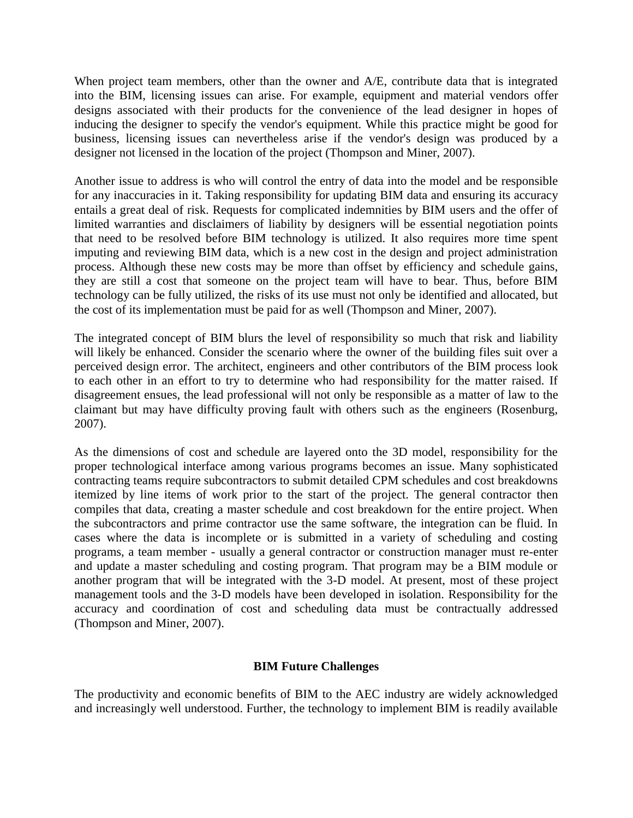When project team members, other than the owner and A/E, contribute data that is integrated into the BIM, licensing issues can arise. For example, equipment and material vendors offer designs associated with their products for the convenience of the lead designer in hopes of inducing the designer to specify the vendor's equipment. While this practice might be good for business, licensing issues can nevertheless arise if the vendor's design was produced by a designer not licensed in the location of the project (Thompson and Miner, 2007).

Another issue to address is who will control the entry of data into the model and be responsible for any inaccuracies in it. Taking responsibility for updating BIM data and ensuring its accuracy entails a great deal of risk. Requests for complicated indemnities by BIM users and the offer of limited warranties and disclaimers of liability by designers will be essential negotiation points that need to be resolved before BIM technology is utilized. It also requires more time spent imputing and reviewing BIM data, which is a new cost in the design and project administration process. Although these new costs may be more than offset by efficiency and schedule gains, they are still a cost that someone on the project team will have to bear. Thus, before BIM technology can be fully utilized, the risks of its use must not only be identified and allocated, but the cost of its implementation must be paid for as well (Thompson and Miner, 2007).

The integrated concept of BIM blurs the level of responsibility so much that risk and liability will likely be enhanced. Consider the scenario where the owner of the building files suit over a perceived design error. The architect, engineers and other contributors of the BIM process look to each other in an effort to try to determine who had responsibility for the matter raised. If disagreement ensues, the lead professional will not only be responsible as a matter of law to the claimant but may have difficulty proving fault with others such as the engineers (Rosenburg, 2007).

As the dimensions of cost and schedule are layered onto the 3D model, responsibility for the proper technological interface among various programs becomes an issue. Many sophisticated contracting teams require subcontractors to submit detailed CPM schedules and cost breakdowns itemized by line items of work prior to the start of the project. The general contractor then compiles that data, creating a master schedule and cost breakdown for the entire project. When the subcontractors and prime contractor use the same software, the integration can be fluid. In cases where the data is incomplete or is submitted in a variety of scheduling and costing programs, a team member - usually a general contractor or construction manager must re-enter and update a master scheduling and costing program. That program may be a BIM module or another program that will be integrated with the 3-D model. At present, most of these project management tools and the 3-D models have been developed in isolation. Responsibility for the accuracy and coordination of cost and scheduling data must be contractually addressed (Thompson and Miner, 2007).

### **BIM Future Challenges**

The productivity and economic benefits of BIM to the AEC industry are widely acknowledged and increasingly well understood. Further, the technology to implement BIM is readily available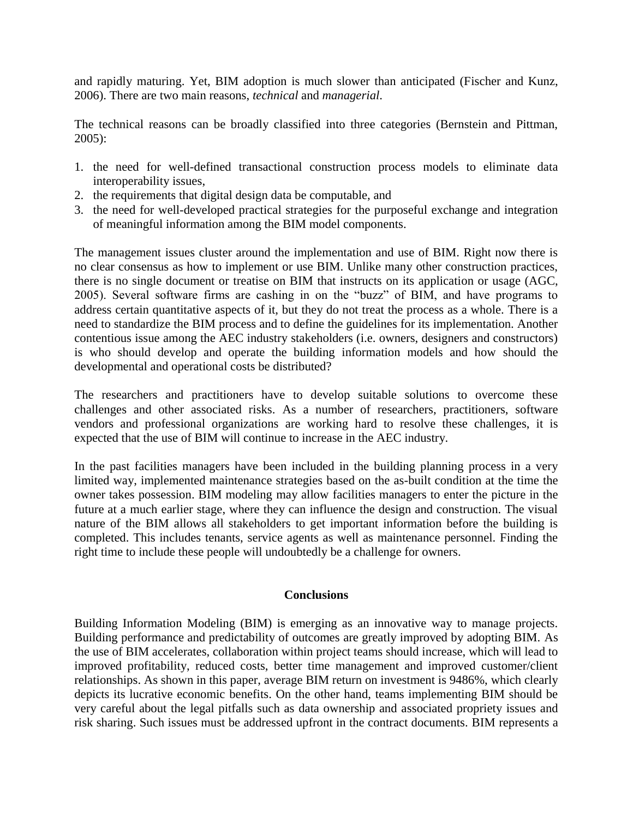and rapidly maturing. Yet, BIM adoption is much slower than anticipated (Fischer and Kunz, 2006). There are two main reasons, *technical* and *managerial*.

The technical reasons can be broadly classified into three categories (Bernstein and Pittman, 2005):

- 1. the need for well-defined transactional construction process models to eliminate data interoperability issues,
- 2. the requirements that digital design data be computable, and
- 3. the need for well-developed practical strategies for the purposeful exchange and integration of meaningful information among the BIM model components.

The management issues cluster around the implementation and use of BIM. Right now there is no clear consensus as how to implement or use BIM. Unlike many other construction practices, there is no single document or treatise on BIM that instructs on its application or usage (AGC, 2005). Several software firms are cashing in on the "buzz" of BIM, and have programs to address certain quantitative aspects of it, but they do not treat the process as a whole. There is a need to standardize the BIM process and to define the guidelines for its implementation. Another contentious issue among the AEC industry stakeholders (i.e. owners, designers and constructors) is who should develop and operate the building information models and how should the developmental and operational costs be distributed?

The researchers and practitioners have to develop suitable solutions to overcome these challenges and other associated risks. As a number of researchers, practitioners, software vendors and professional organizations are working hard to resolve these challenges, it is expected that the use of BIM will continue to increase in the AEC industry.

In the past facilities managers have been included in the building planning process in a very limited way, implemented maintenance strategies based on the as-built condition at the time the owner takes possession. BIM modeling may allow facilities managers to enter the picture in the future at a much earlier stage, where they can influence the design and construction. The visual nature of the BIM allows all stakeholders to get important information before the building is completed. This includes tenants, service agents as well as maintenance personnel. Finding the right time to include these people will undoubtedly be a challenge for owners.

### **Conclusions**

Building Information Modeling (BIM) is emerging as an innovative way to manage projects. Building performance and predictability of outcomes are greatly improved by adopting BIM. As the use of BIM accelerates, collaboration within project teams should increase, which will lead to improved profitability, reduced costs, better time management and improved customer/client relationships. As shown in this paper, average BIM return on investment is 9486%, which clearly depicts its lucrative economic benefits. On the other hand, teams implementing BIM should be very careful about the legal pitfalls such as data ownership and associated propriety issues and risk sharing. Such issues must be addressed upfront in the contract documents. BIM represents a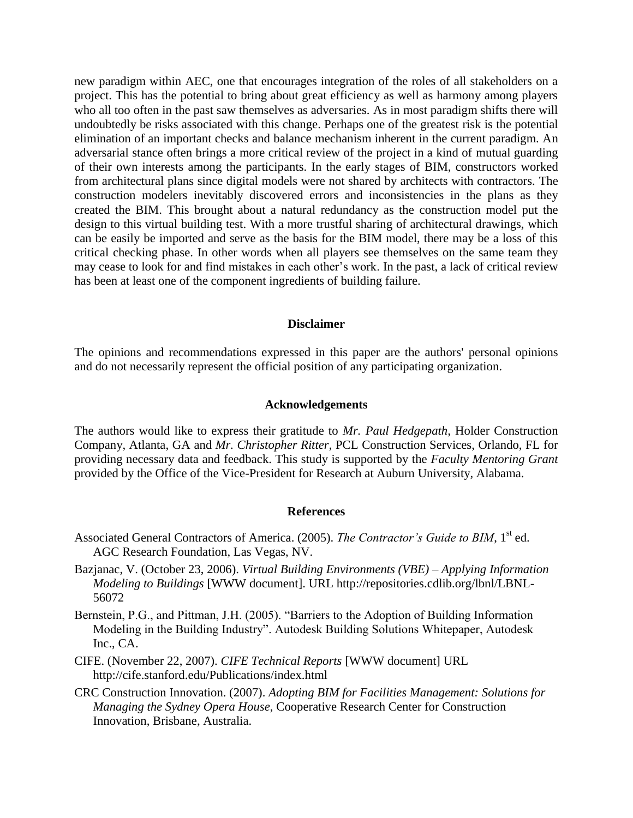new paradigm within AEC, one that encourages integration of the roles of all stakeholders on a project. This has the potential to bring about great efficiency as well as harmony among players who all too often in the past saw themselves as adversaries. As in most paradigm shifts there will undoubtedly be risks associated with this change. Perhaps one of the greatest risk is the potential elimination of an important checks and balance mechanism inherent in the current paradigm. An adversarial stance often brings a more critical review of the project in a kind of mutual guarding of their own interests among the participants. In the early stages of BIM, constructors worked from architectural plans since digital models were not shared by architects with contractors. The construction modelers inevitably discovered errors and inconsistencies in the plans as they created the BIM. This brought about a natural redundancy as the construction model put the design to this virtual building test. With a more trustful sharing of architectural drawings, which can be easily be imported and serve as the basis for the BIM model, there may be a loss of this critical checking phase. In other words when all players see themselves on the same team they may cease to look for and find mistakes in each other's work. In the past, a lack of critical review has been at least one of the component ingredients of building failure.

#### **Disclaimer**

The opinions and recommendations expressed in this paper are the authors' personal opinions and do not necessarily represent the official position of any participating organization.

#### **Acknowledgements**

The authors would like to express their gratitude to *Mr. Paul Hedgepath,* Holder Construction Company, Atlanta, GA and *Mr. Christopher Ritter*, PCL Construction Services, Orlando, FL for providing necessary data and feedback. This study is supported by the *Faculty Mentoring Grant* provided by the Office of the Vice-President for Research at Auburn University, Alabama.

#### **References**

- Associated General Contractors of America. (2005). *The Contractor's Guide to BIM*, 1<sup>st</sup> ed. AGC Research Foundation, Las Vegas, NV.
- Bazjanac, V. (October 23, 2006). *Virtual Building Environments (VBE) – Applying Information Modeling to Buildings* [WWW document]. URL http://repositories.cdlib.org/lbnl/LBNL-56072
- Bernstein, P.G., and Pittman, J.H. (2005). "Barriers to the Adoption of Building Information Modeling in the Building Industry". Autodesk Building Solutions Whitepaper, Autodesk Inc., CA.
- CIFE. (November 22, 2007). *CIFE Technical Reports* [WWW document] URL http://cife.stanford.edu/Publications/index.html
- CRC Construction Innovation. (2007). *Adopting BIM for Facilities Management: Solutions for Managing the Sydney Opera House*, Cooperative Research Center for Construction Innovation, Brisbane, Australia.